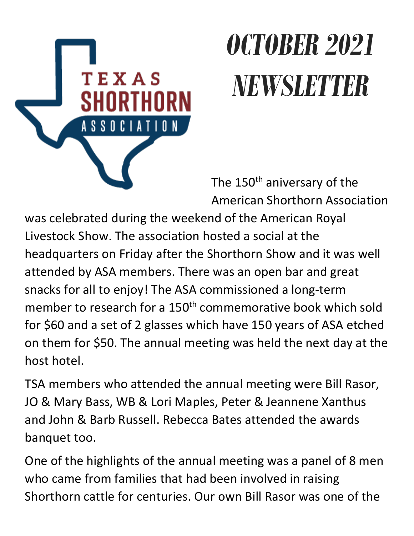

# *OCTOBER 2021 NEWSLETTER*

The 150<sup>th</sup> aniversary of the American Shorthorn Association

was celebrated during the weekend of the American Royal Livestock Show. The association hosted a social at the headquarters on Friday after the Shorthorn Show and it was well attended by ASA members. There was an open bar and great snacks for all to enjoy! The ASA commissioned a long-term member to research for a 150<sup>th</sup> commemorative book which sold for \$60 and a set of 2 glasses which have 150 years of ASA etched on them for \$50. The annual meeting was held the next day at the host hotel.

TSA members who attended the annual meeting were Bill Rasor, JO & Mary Bass, WB & Lori Maples, Peter & Jeannene Xanthus and John & Barb Russell. Rebecca Bates attended the awards banquet too.

One of the highlights of the annual meeting was a panel of 8 men who came from families that had been involved in raising Shorthorn cattle for centuries. Our own Bill Rasor was one of the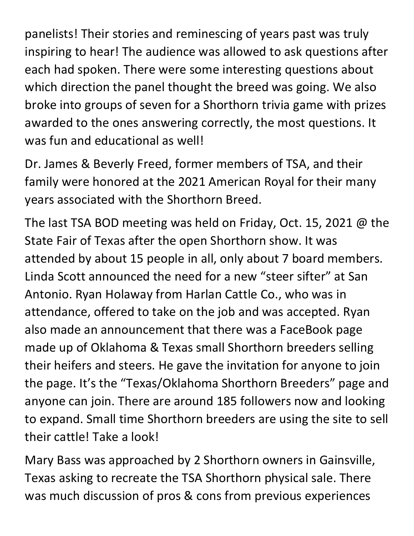panelists! Their stories and reminescing of years past was truly inspiring to hear! The audience was allowed to ask questions after each had spoken. There were some interesting questions about which direction the panel thought the breed was going. We also broke into groups of seven for a Shorthorn trivia game with prizes awarded to the ones answering correctly, the most questions. It was fun and educational as well!

Dr. James & Beverly Freed, former members of TSA, and their family were honored at the 2021 American Royal for their many years associated with the Shorthorn Breed.

The last TSA BOD meeting was held on Friday, Oct. 15, 2021 @ the State Fair of Texas after the open Shorthorn show. It was attended by about 15 people in all, only about 7 board members. Linda Scott announced the need for a new "steer sifter" at San Antonio. Ryan Holaway from Harlan Cattle Co., who was in attendance, offered to take on the job and was accepted. Ryan also made an announcement that there was a FaceBook page made up of Oklahoma & Texas small Shorthorn breeders selling their heifers and steers. He gave the invitation for anyone to join the page. It's the "Texas/Oklahoma Shorthorn Breeders" page and anyone can join. There are around 185 followers now and looking to expand. Small time Shorthorn breeders are using the site to sell their cattle! Take a look!

Mary Bass was approached by 2 Shorthorn owners in Gainsville, Texas asking to recreate the TSA Shorthorn physical sale. There was much discussion of pros & cons from previous experiences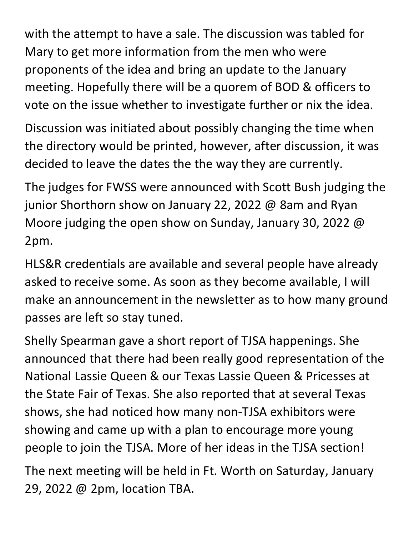with the attempt to have a sale. The discussion was tabled for Mary to get more information from the men who were proponents of the idea and bring an update to the January meeting. Hopefully there will be a quorem of BOD & officers to vote on the issue whether to investigate further or nix the idea.

Discussion was initiated about possibly changing the time when the directory would be printed, however, after discussion, it was decided to leave the dates the the way they are currently.

The judges for FWSS were announced with Scott Bush judging the junior Shorthorn show on January 22, 2022 @ 8am and Ryan Moore judging the open show on Sunday, January 30, 2022 @ 2pm.

HLS&R credentials are available and several people have already asked to receive some. As soon as they become available, I will make an announcement in the newsletter as to how many ground passes are left so stay tuned.

Shelly Spearman gave a short report of TJSA happenings. She announced that there had been really good representation of the National Lassie Queen & our Texas Lassie Queen & Pricesses at the State Fair of Texas. She also reported that at several Texas shows, she had noticed how many non-TJSA exhibitors were showing and came up with a plan to encourage more young people to join the TJSA. More of her ideas in the TJSA section!

The next meeting will be held in Ft. Worth on Saturday, January 29, 2022 @ 2pm, location TBA.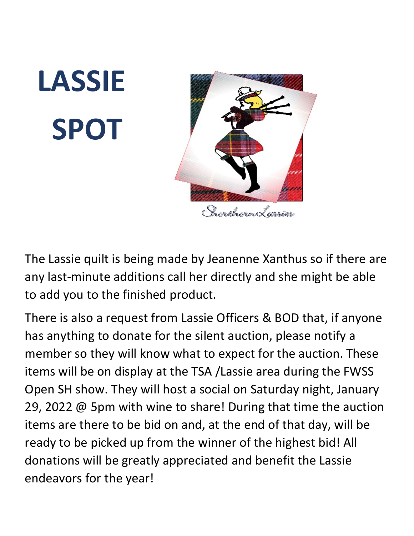# **LASSIE SPOT**



The Lassie quilt is being made by Jeanenne Xanthus so if there are any last-minute additions call her directly and she might be able to add you to the finished product.

There is also a request from Lassie Officers & BOD that, if anyone has anything to donate for the silent auction, please notify a member so they will know what to expect for the auction. These items will be on display at the TSA /Lassie area during the FWSS Open SH show. They will host a social on Saturday night, January 29, 2022 @ 5pm with wine to share! During that time the auction items are there to be bid on and, at the end of that day, will be ready to be picked up from the winner of the highest bid! All donations will be greatly appreciated and benefit the Lassie endeavors for the year!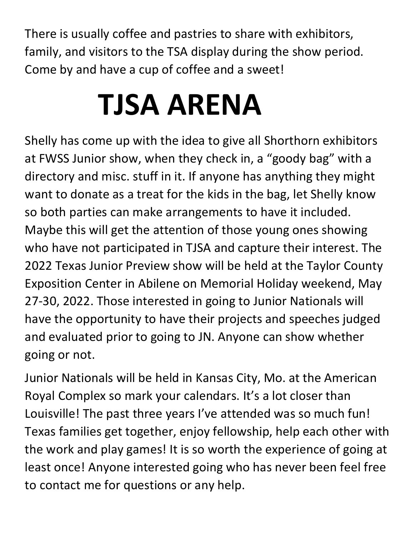There is usually coffee and pastries to share with exhibitors, family, and visitors to the TSA display during the show period. Come by and have a cup of coffee and a sweet!

# **TJSA ARENA**

Shelly has come up with the idea to give all Shorthorn exhibitors at FWSS Junior show, when they check in, a "goody bag" with a directory and misc. stuff in it. If anyone has anything they might want to donate as a treat for the kids in the bag, let Shelly know so both parties can make arrangements to have it included. Maybe this will get the attention of those young ones showing who have not participated in TJSA and capture their interest. The 2022 Texas Junior Preview show will be held at the Taylor County Exposition Center in Abilene on Memorial Holiday weekend, May 27-30, 2022. Those interested in going to Junior Nationals will have the opportunity to have their projects and speeches judged and evaluated prior to going to JN. Anyone can show whether going or not.

Junior Nationals will be held in Kansas City, Mo. at the American Royal Complex so mark your calendars. It's a lot closer than Louisville! The past three years I've attended was so much fun! Texas families get together, enjoy fellowship, help each other with the work and play games! It is so worth the experience of going at least once! Anyone interested going who has never been feel free to contact me for questions or any help.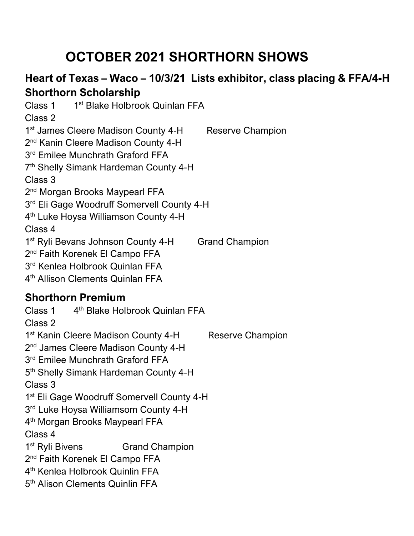## **OCTOBER 2021 SHORTHORN SHOWS**

#### **Heart of Texas – Waco – 10/3/21 Lists exhibitor, class placing & FFA/4-H Shorthorn Scholarship**

Class 1 1<sup>st</sup> Blake Holbrook Quinlan FFA Class 2 1<sup>st</sup> James Cleere Madison County 4-H Reserve Champion 2<sup>nd</sup> Kanin Cleere Madison County 4-H 3<sup>rd</sup> Emilee Munchrath Graford FFA 7th Shelly Simank Hardeman County 4-H Class 3 2<sup>nd</sup> Morgan Brooks Maypearl FFA  $3<sup>rd</sup>$  Eli Gage Woodruff Somervell County 4-H 4<sup>th</sup> Luke Hoysa Williamson County 4-H Class 4 1<sup>st</sup> Ryli Bevans Johnson County 4-H Grand Champion 2<sup>nd</sup> Faith Korenek El Campo FFA 3<sup>rd</sup> Kenlea Holbrook Quinlan FFA 4th Allison Clements Quinlan FFA **Shorthorn Premium**  Class 1 4<sup>th</sup> Blake Holbrook Quinlan FFA Class 2 1<sup>st</sup> Kanin Cleere Madison County 4-H Reserve Champion 2<sup>nd</sup> James Cleere Madison County 4-H 3<sup>rd</sup> Emilee Munchrath Graford FFA 5<sup>th</sup> Shelly Simank Hardeman County 4-H Class 3 1st Eli Gage Woodruff Somervell County 4-H 3rd Luke Hoysa Williamsom County 4-H 4<sup>th</sup> Morgan Brooks Maypearl FFA Class 4 1<sup>st</sup> Ryli Bivens Grand Champion 2<sup>nd</sup> Faith Korenek El Campo FFA

4th Kenlea Holbrook Quinlin FFA

5<sup>th</sup> Alison Clements Quinlin FFA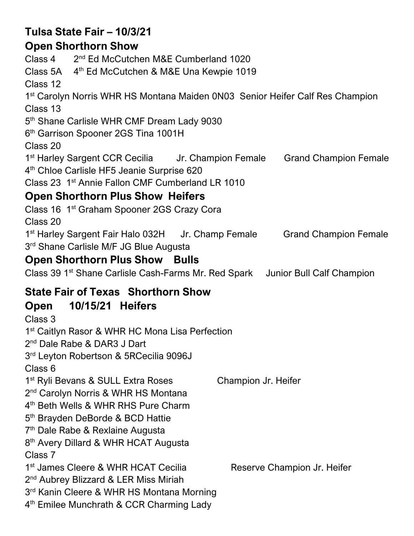### **Tulsa State Fair – 10/3/21**

#### **Open Shorthorn Show**

Class 4 2nd Ed McCutchen M&E Cumberland 1020 Class 5A 4<sup>th</sup> Ed McCutchen & M&E Una Kewpie 1019 Class 12 1<sup>st</sup> Carolyn Norris WHR HS Montana Maiden 0N03 Senior Heifer Calf Res Champion Class 13 5<sup>th</sup> Shane Carlisle WHR CMF Dream Lady 9030 6<sup>th</sup> Garrison Spooner 2GS Tina 1001H Class 20 1<sup>st</sup> Harley Sargent CCR Cecilia Jr. Champion Female Grand Champion Female 4<sup>th</sup> Chloe Carlisle HF5 Jeanie Surprise 620 Class 23 1st Annie Fallon CMF Cumberland LR 1010 **Open Shorthorn Plus Show Heifers**  Class 16 1st Graham Spooner 2GS Crazy Cora Class 20 1st Harley Sargent Fair Halo 032H Jr. Champ Female Grand Champion Female 3rd Shane Carlisle M/F JG Blue Augusta **Open Shorthorn Plus Show Bulls**  Class 39 1st Shane Carlisle Cash-Farms Mr. Red Spark Junior Bull Calf Champion **State Fair of Texas Shorthorn Show Open 10/15/21 Heifers**  Class 3 1st Caitlyn Rasor & WHR HC Mona Lisa Perfection 2<sup>nd</sup> Dale Rabe & DAR3 J Dart 3rd Leyton Robertson & 5RCecilia 9096J Class 6 1<sup>st</sup> Ryli Bevans & SULL Extra Roses Champion Jr. Heifer 2<sup>nd</sup> Carolyn Norris & WHR HS Montana 4<sup>th</sup> Beth Wells & WHR RHS Pure Charm 5<sup>th</sup> Brayden DeBorde & BCD Hattie 7th Dale Rabe & Rexlaine Augusta 8<sup>th</sup> Avery Dillard & WHR HCAT Augusta Class 7 1<sup>st</sup> James Cleere & WHR HCAT Cecilia Reserve Champion Jr. Heifer

2<sup>nd</sup> Aubrey Blizzard & LER Miss Miriah

 $3<sup>rd</sup>$  Kanin Cleere & WHR HS Montana Morning

4<sup>th</sup> Emilee Munchrath & CCR Charming Lady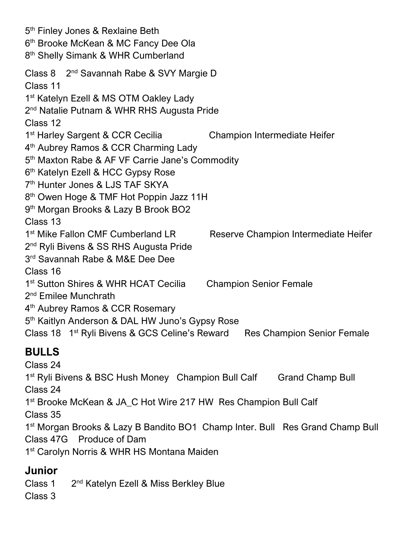5<sup>th</sup> Finley Jones & Rexlaine Beth 6<sup>th</sup> Brooke McKean & MC Fancy Dee Ola 8<sup>th</sup> Shelly Simank & WHR Cumberland Class 8 2nd Savannah Rabe & SVY Margie D Class 11 1st Katelyn Ezell & MS OTM Oakley Lady 2<sup>nd</sup> Natalie Putnam & WHR RHS Augusta Pride Class 12 1<sup>st</sup> Harley Sargent & CCR Cecilia Champion Intermediate Heifer 4<sup>th</sup> Aubrey Ramos & CCR Charming Lady 5<sup>th</sup> Maxton Rabe & AF VF Carrie Jane's Commodity 6<sup>th</sup> Katelyn Ezell & HCC Gypsy Rose 7th Hunter Jones & LJS TAF SKYA 8<sup>th</sup> Owen Hoge & TMF Hot Poppin Jazz 11H 9<sup>th</sup> Morgan Brooks & Lazy B Brook BO2 Class 13 1<sup>st</sup> Mike Fallon CMF Cumberland LR Reserve Champion Intermediate Heifer 2<sup>nd</sup> Ryli Bivens & SS RHS Augusta Pride 3<sup>rd</sup> Savannah Rabe & M&E Dee Dee Class 16 1<sup>st</sup> Sutton Shires & WHR HCAT Cecilia Champion Senior Female 2<sup>nd</sup> Emilee Munchrath 4<sup>th</sup> Aubrey Ramos & CCR Rosemary 5<sup>th</sup> Kaitlyn Anderson & DAL HW Juno's Gypsy Rose Class 18 1<sup>st</sup> Ryli Bivens & GCS Celine's Reward Res Champion Senior Female **BULLS**  Class 24 1<sup>st</sup> Ryli Bivens & BSC Hush Money Champion Bull Calf Grand Champ Bull Class 24 1<sup>st</sup> Brooke McKean & JA\_C Hot Wire 217 HW Res Champion Bull Calf Class 35 1<sup>st</sup> Morgan Brooks & Lazy B Bandito BO1 Champ Inter. Bull Res Grand Champ Bull Class 47G Produce of Dam

1<sup>st</sup> Carolyn Norris & WHR HS Montana Maiden

#### **Junior**

Class 1 2nd Katelyn Ezell & Miss Berkley Blue

Class 3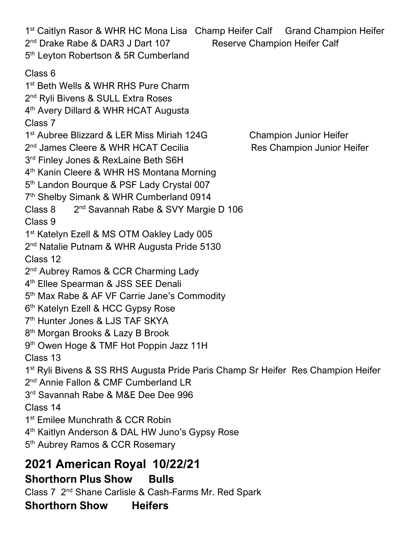1<sup>st</sup> Caitlyn Rasor & WHR HC Mona Lisa Champ Heifer Calf Grand Champion Heifer 2<sup>nd</sup> Drake Rabe & DAR3 J Dart 107 Reserve Champion Heifer Calf 5<sup>th</sup> Leyton Robertson & 5R Cumberland Class 6 1<sup>st</sup> Beth Wells & WHR RHS Pure Charm 2<sup>nd</sup> Ryli Bivens & SULL Extra Roses 4<sup>th</sup> Avery Dillard & WHR HCAT Augusta Class 7 1<sup>st</sup> Aubree Blizzard & LER Miss Miriah 124G Champion Junior Heifer 2<sup>nd</sup> James Cleere & WHR HCAT Cecilia Res Champion Junior Heifer  $3<sup>rd</sup>$  Finley Jones & RexLaine Beth S6H 4<sup>th</sup> Kanin Cleere & WHR HS Montana Morning 5<sup>th</sup> Landon Bourque & PSF Lady Crystal 007 7<sup>th</sup> Shelby Simank & WHR Cumberland 0914 Class 8 2nd Savannah Rabe & SVY Margie D 106 Class 9 1<sup>st</sup> Katelyn Ezell & MS OTM Oakley Lady 005 2<sup>nd</sup> Natalie Putnam & WHR Augusta Pride 5130 Class 12 2<sup>nd</sup> Aubrey Ramos & CCR Charming Lady 4<sup>th</sup> Ellee Spearman & JSS SEE Denali 5<sup>th</sup> Max Rabe & AF VF Carrie Jane's Commodity 6<sup>th</sup> Katelyn Ezell & HCC Gypsy Rose 7th Hunter Jones & LJS TAF SKYA 8th Morgan Brooks & Lazy B Brook 9<sup>th</sup> Owen Hoge & TMF Hot Poppin Jazz 11H Class 13 1<sup>st</sup> Ryli Bivens & SS RHS Augusta Pride Paris Champ Sr Heifer Res Champion Heifer 2<sup>nd</sup> Annie Fallon & CMF Cumberland LR 3rd Savannah Rabe & M&E Dee Dee 996 Class 14 1<sup>st</sup> Emilee Munchrath & CCR Robin 4<sup>th</sup> Kaitlyn Anderson & DAL HW Juno's Gypsy Rose 5<sup>th</sup> Aubrey Ramos & CCR Rosemary

## **2021 American Royal 10/22/21**

#### **Shorthorn Plus Show Bulls**

Class 7 2nd Shane Carlisle & Cash-Farms Mr. Red Spark

**Shorthorn Show Heifers**